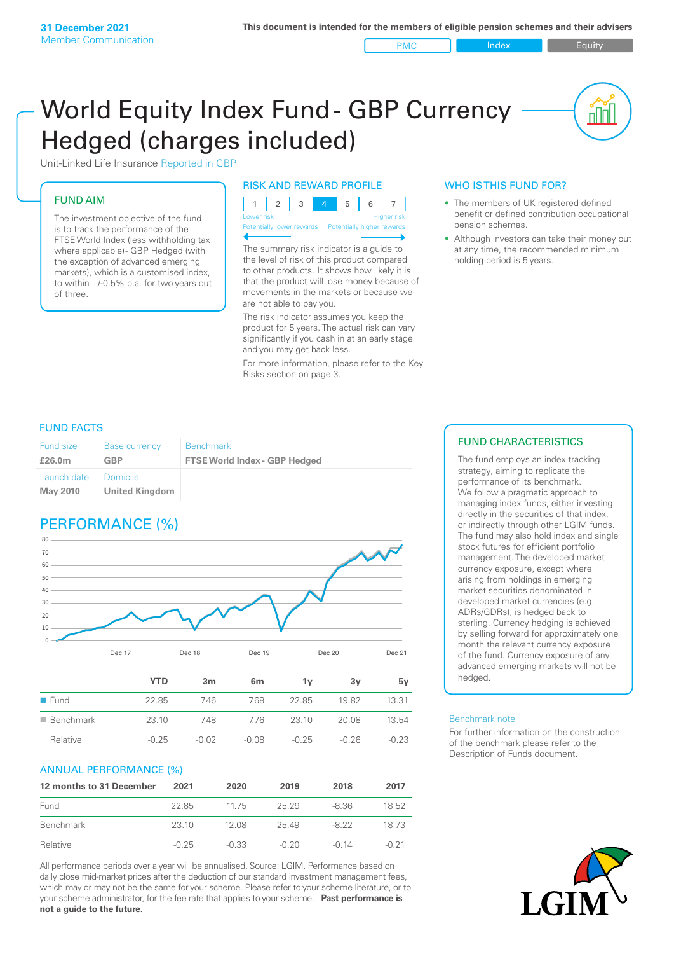PMC Index Index Equity

<u>nul</u>

# World Equity Index Fund- GBP Currency Hedged (charges included)



## FUND AIM

The investment objective of the fund is to track the performance of the FTSE World Index (less withholding tax where applicable) - GBP Hedged (with the exception of advanced emerging markets), which is a customised index, to within +/‑0.5% p.a. for two years out of three.

#### RISK AND REWARD PROFILE

| Lower risk |  |  | <b>Higher</b> risk |  |
|------------|--|--|--------------------|--|

Potentially lower rewards Potentially higher rewards

The summary risk indicator is a guide to the level of risk of this product compared to other products. It shows how likely it is that the product will lose money because of movements in the markets or because we are not able to pay you.

The risk indicator assumes you keep the product for 5 years. The actual risk can vary significantly if you cash in at an early stage and you may get back less.

For more information, please refer to the Key Risks section on page 3.

## WHO IS THIS FUND FOR?

- The members of UK registered defined benefit or defined contribution occupational pension schemes.
- Although investors can take their money out at any time, the recommended minimum holding period is 5 years.

#### FUND FACTS

| <b>Fund size</b>        | <b>Base currency</b>       | <b>Benchmark</b>                     |
|-------------------------|----------------------------|--------------------------------------|
| £26.0m                  | GBP                        | <b>FTSE World Index - GBP Hedged</b> |
| Launch date<br>May 2010 | Domicile<br>United Kingdom |                                      |

# PERFORMANCE (%)



|                          | YTD     | 3m      | 6 <sub>m</sub> | ٦v      | З٧    | 5v      |
|--------------------------|---------|---------|----------------|---------|-------|---------|
| $\blacksquare$ Fund      | 22.85   | 7.46    | 7.68           | 22.85   | 1982  | 13.31   |
| $\blacksquare$ Benchmark | 23.10   | 7.48    | 776            | 23.10   | 20.08 | 13.54   |
| Relative                 | $-0.25$ | $-0.02$ | $-0.08$        | $-0.25$ | -0.26 | $-0.23$ |

#### ANNUAL PERFORMANCE (%)

| 12 months to 31 December | 2021    | 2020    | 2019    | 2018    | 2017  |
|--------------------------|---------|---------|---------|---------|-------|
| Fund                     | 22.85   | 11 75   | 2529    | -8.36   | 18.52 |
| Benchmark                | 23 10   | 12.08   | 25.49   | $-822$  | 18 73 |
| Relative                 | $-0.25$ | $-0.33$ | $-0.20$ | $-0.14$ | -0.21 |

All performance periods over a year will be annualised. Source: LGIM. Performance based on daily close mid-market prices after the deduction of our standard investment management fees, which may or may not be the same for your scheme. Please refer to your scheme literature, or to your scheme administrator, for the fee rate that applies to your scheme. **Past performance is not a guide to the future.**

## FUND CHARACTERISTICS

The fund employs an index tracking strategy, aiming to replicate the performance of its benchmark. We follow a pragmatic approach to managing index funds, either investing directly in the securities of that index, or indirectly through other LGIM funds. The fund may also hold index and single stock futures for efficient portfolio management. The developed market currency exposure, except where arising from holdings in emerging market securities denominated in developed market currencies (e.g. ADRs/GDRs), is hedged back to sterling. Currency hedging is achieved by selling forward for approximately one month the relevant currency exposure of the fund. Currency exposure of any advanced emerging markets will not be hedged.

#### Benchmark note

For further information on the construction of the benchmark please refer to the Description of Funds document.

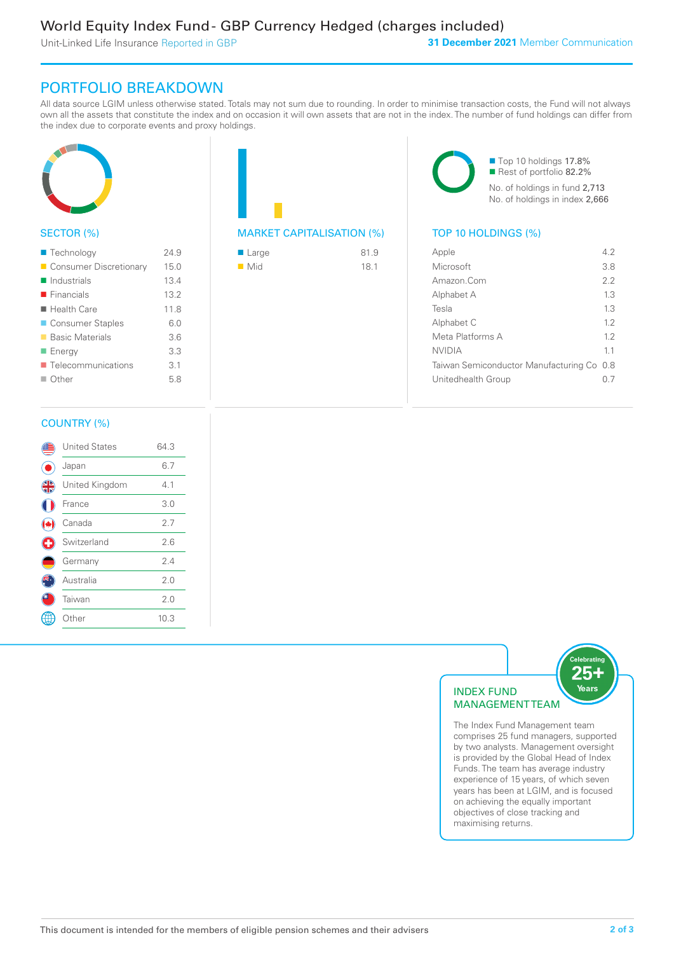Unit-Linked Life Insurance Reported in GBP

## PORTFOLIO BREAKDOWN

All data source LGIM unless otherwise stated. Totals may not sum due to rounding. In order to minimise transaction costs, the Fund will not always own all the assets that constitute the index and on occasion it will own assets that are not in the index. The number of fund holdings can differ from the index due to corporate events and proxy holdings.



## SECTOR (%)

| ■ Technology               | 24.9 |
|----------------------------|------|
| Consumer Discretionary     | 15.0 |
| $\blacksquare$ Industrials | 13.4 |
| $\blacksquare$ Financials  | 13.2 |
| ■ Health Care              | 118  |
| ■ Consumer Staples         | 6.0  |
| ■ Basic Materials          | 36   |
| ■ Energy                   | 3.3  |
| ■ Telecommunications       | 3.1  |
| $\blacksquare$ Other       | 5.8  |
|                            |      |

| <b>MARKET CAPITALISATION (%)</b> |  |
|----------------------------------|--|

| $\blacksquare$ Large | 81.9 |
|----------------------|------|
| $\blacksquare$ Mid   | 18.1 |

■ Top 10 holdings 17.8% Rest of portfolio 82.2% No. of holdings in fund 2,713 No. of holdings in index 2,666

## TOP 10 HOLDINGS (%)

| Apple                                     | 42  |
|-------------------------------------------|-----|
| Microsoft                                 | 38  |
| Amazon.Com                                | 2.2 |
| Alphabet A                                | 1.3 |
| Tesla                                     | 13  |
| Alphabet C                                | 12  |
| Meta Platforms A                          | 12  |
| <b>NVIDIA</b>                             | 11  |
| Taiwan Semiconductor Manufacturing Co 0.8 |     |
| Unitedhealth Group                        |     |
|                                           |     |

#### COUNTRY (%)

|   | <b>United States</b> | 64.3 |  |
|---|----------------------|------|--|
|   | Japan                | 6.7  |  |
| 4 | United Kingdom       | 4.1  |  |
|   | France               | 3.0  |  |
|   | Canada               | 2.7  |  |
| Œ | Switzerland          | 2.6  |  |
|   | Germany              | 2.4  |  |
|   | Australia            | 2.0  |  |
|   | Taiwan               | 2.0  |  |
|   | Other                | 10.3 |  |
|   |                      |      |  |



The Index Fund Management team comprises 25 fund managers, supported by two analysts. Management oversight is provided by the Global Head of Index Funds. The team has average industry experience of 15 years, of which seven years has been at LGIM, and is focused on achieving the equally important objectives of close tracking and maximising returns.